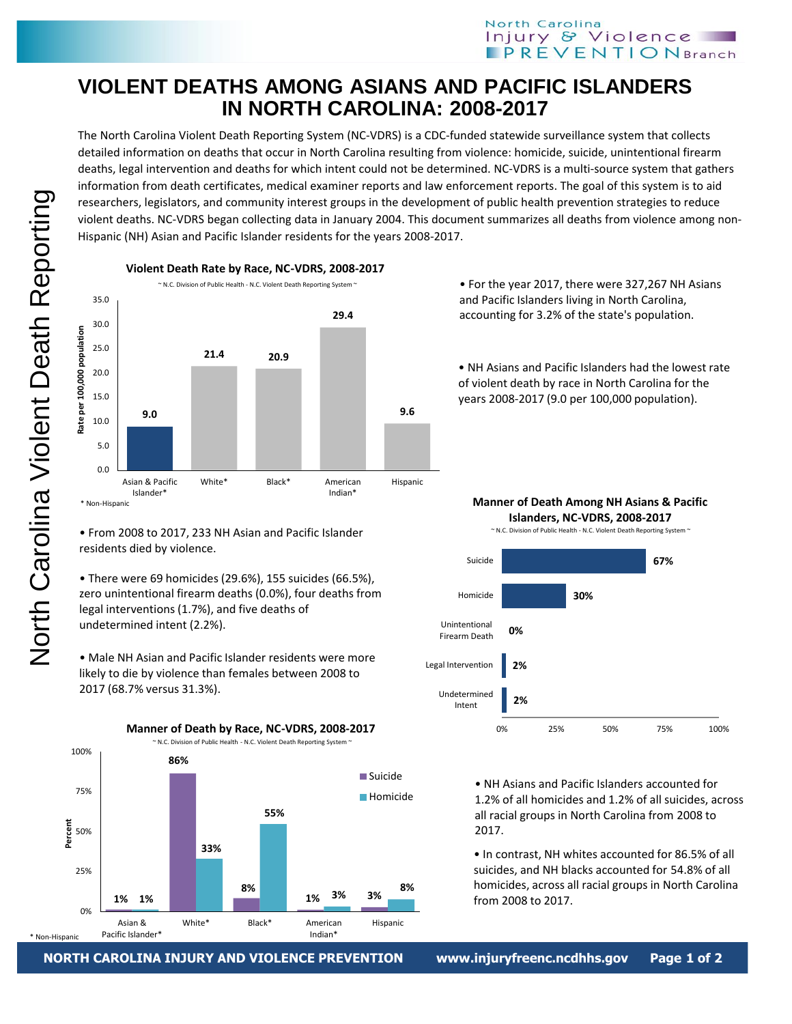## North Carolina Injury & Violence **IPREVENTION** Branch

## **VIOLENT DEATHS AMONG ASIANS AND PACIFIC ISLANDERS IN NORTH CAROLINA: 2008-2017**

The North Carolina Violent Death Reporting System (NC-VDRS) is a CDC-funded statewide surveillance system that collects detailed information on deaths that occur in North Carolina resulting from violence: homicide, suicide, unintentional firearm deaths, legal intervention and deaths for which intent could not be determined. NC-VDRS is a multi-source system that gathers information from death certificates, medical examiner reports and law enforcement reports. The goal of this system is to aid researchers, legislators, and community interest groups in the development of public health prevention strategies to reduce violent deaths. NC-VDRS began collecting data in January 2004. This document summarizes all deaths from violence among non-Hispanic (NH) Asian and Pacific Islander residents for the years 2008-2017.



• From 2008 to 2017, 233 NH Asian and Pacific Islander residents died by violence.

• There were 69 homicides (29.6%), 155 suicides (66.5%), zero unintentional firearm deaths (0.0%), four deaths from legal interventions (1.7%), and five deaths of undetermined intent (2.2%).

• Male NH Asian and Pacific Islander residents were more likely to die by violence than females between 2008 to 2017 (68.7% versus 31.3%).



• For the year 2017, there were 327,267 NH Asians and Pacific Islanders living in North Carolina, accounting for 3.2% of the state's population.

• NH Asians and Pacific Islanders had the lowest rate of violent death by race in North Carolina for the years 2008-2017 (9.0 per 100,000 population).



• NH Asians and Pacific Islanders accounted for 1.2% of all homicides and 1.2% of all suicides, across all racial groups in North Carolina from 2008 to 2017.

• In contrast, NH whites accounted for 86.5% of all suicides, and NH blacks accounted for 54.8% of all homicides, across all racial groups in North Carolina from 2008 to 2017.

**NORTH CAROLINA INJURY AND VIOLENCE PREVENTION www.injuryfreenc.ncdhhs.gov** 

ye 1 or